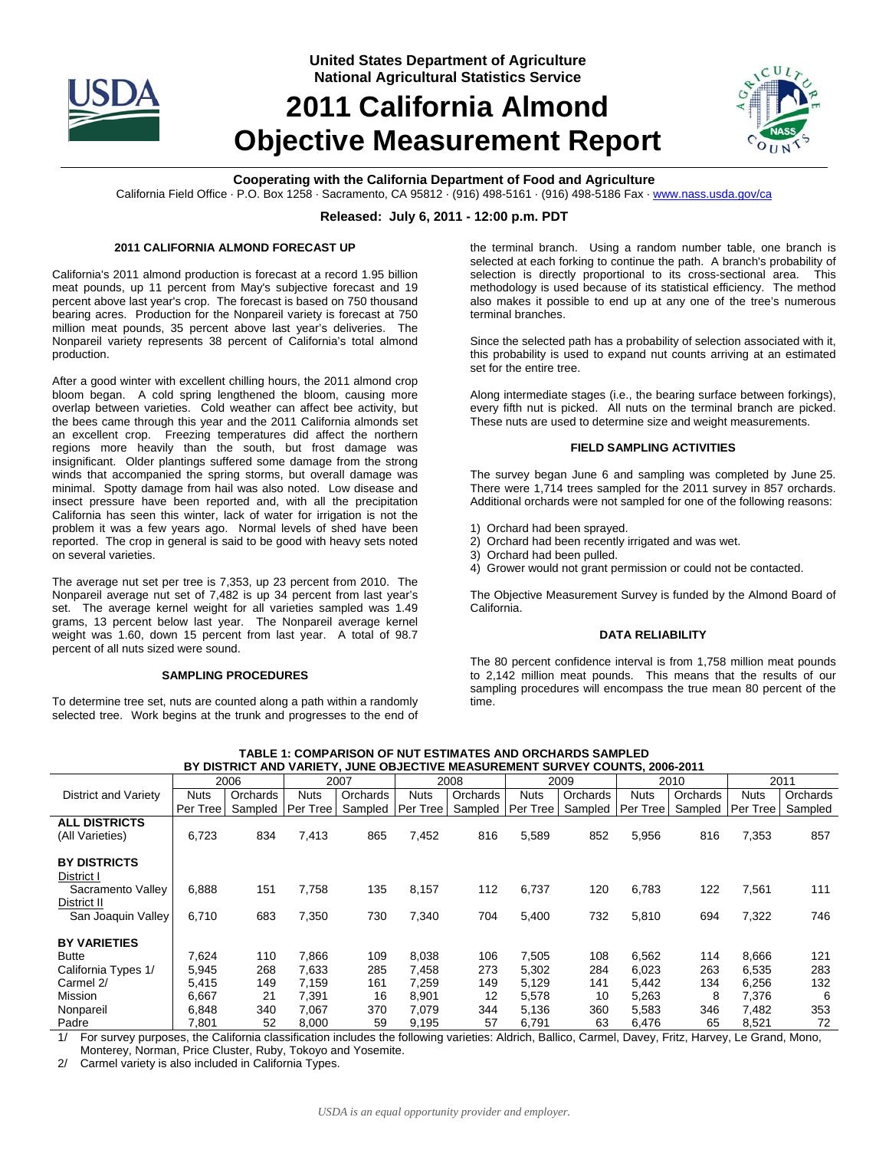

**United States Department of Agriculture National Agricultural Statistics Service**

# **2011 California Almond Objective Measurement Report**



## **Cooperating with the California Department of Food and Agriculture**

California Field Office · P.O. Box 1258 · Sacramento, CA 95812 · (916) 498-5161 · (916) 498-5186 Fax · www.nass.usda.gov/ca

## **Released: July 6, 2011 - 12:00 p.m. PDT**

#### **2011 CALIFORNIA ALMOND FORECAST UP**

California's 2011 almond production is forecast at a record 1.95 billion meat pounds, up 11 percent from May's subjective forecast and 19 percent above last year's crop. The forecast is based on 750 thousand bearing acres. Production for the Nonpareil variety is forecast at 750 million meat pounds, 35 percent above last year's deliveries. The Nonpareil variety represents 38 percent of California's total almond production.

After a good winter with excellent chilling hours, the 2011 almond crop bloom began. A cold spring lengthened the bloom, causing more overlap between varieties. Cold weather can affect bee activity, but the bees came through this year and the 2011 California almonds set an excellent crop. Freezing temperatures did affect the northern regions more heavily than the south, but frost damage was insignificant. Older plantings suffered some damage from the strong winds that accompanied the spring storms, but overall damage was minimal. Spotty damage from hail was also noted. Low disease and insect pressure have been reported and, with all the precipitation California has seen this winter, lack of water for irrigation is not the problem it was a few years ago. Normal levels of shed have been reported. The crop in general is said to be good with heavy sets noted on several varieties.

The average nut set per tree is 7,353, up 23 percent from 2010. The Nonpareil average nut set of 7,482 is up 34 percent from last year's set. The average kernel weight for all varieties sampled was 1.49 grams, 13 percent below last year. The Nonpareil average kernel weight was 1.60, down 15 percent from last year. A total of 98.7 percent of all nuts sized were sound.

### **SAMPLING PROCEDURES**

To determine tree set, nuts are counted along a path within a randomly selected tree. Work begins at the trunk and progresses to the end of the terminal branch. Using a random number table, one branch is selected at each forking to continue the path. A branch's probability of selection is directly proportional to its cross-sectional area. This methodology is used because of its statistical efficiency. The method also makes it possible to end up at any one of the tree's numerous terminal branches.

Since the selected path has a probability of selection associated with it, this probability is used to expand nut counts arriving at an estimated set for the entire tree.

Along intermediate stages (i.e., the bearing surface between forkings), every fifth nut is picked. All nuts on the terminal branch are picked. These nuts are used to determine size and weight measurements.

#### **FIELD SAMPLING ACTIVITIES**

The survey began June 6 and sampling was completed by June 25. There were 1,714 trees sampled for the 2011 survey in 857 orchards. Additional orchards were not sampled for one of the following reasons:

- 1) Orchard had been sprayed.
- 2) Orchard had been recently irrigated and was wet.
- 3) Orchard had been pulled.
- 4) Grower would not grant permission or could not be contacted.

The Objective Measurement Survey is funded by the Almond Board of California.

#### **DATA RELIABILITY**

The 80 percent confidence interval is from 1,758 million meat pounds to 2,142 million meat pounds. This means that the results of our sampling procedures will encompass the true mean 80 percent of the time.

| 2006                                                                                                                                                                                  |             | 2007               |       | 2008     |             | 2009     |          | 2010     |             | 2011     |           |          |
|---------------------------------------------------------------------------------------------------------------------------------------------------------------------------------------|-------------|--------------------|-------|----------|-------------|----------|----------|----------|-------------|----------|-----------|----------|
| District and Variety                                                                                                                                                                  | <b>Nuts</b> | Orchards           | Nuts  | Orchards | <b>Nuts</b> | Orchards | Nuts     | Orchards | <b>Nuts</b> | Orchards | Nuts      | Orchards |
|                                                                                                                                                                                       | Per Tree    | Sampled   Per Tree |       | Sampled  | Per Tree    | Sampled  | Per Tree | Sampled  | Per Tree    | Sampled  | Per Tree! | Sampled  |
| <b>ALL DISTRICTS</b>                                                                                                                                                                  |             |                    |       |          |             |          |          |          |             |          |           |          |
| (All Varieties)                                                                                                                                                                       | 6,723       | 834                | 7,413 | 865      | 7,452       | 816      | 5,589    | 852      | 5,956       | 816      | 7,353     | 857      |
|                                                                                                                                                                                       |             |                    |       |          |             |          |          |          |             |          |           |          |
| <b>BY DISTRICTS</b>                                                                                                                                                                   |             |                    |       |          |             |          |          |          |             |          |           |          |
| District I                                                                                                                                                                            |             |                    |       |          |             |          |          |          |             |          |           |          |
| Sacramento Valley                                                                                                                                                                     | 6,888       | 151                | 7,758 | 135      | 8,157       | 112      | 6,737    | 120      | 6,783       | 122      | 7,561     | 111      |
| District II                                                                                                                                                                           |             |                    |       |          |             |          |          |          |             |          |           |          |
| San Joaquin Valley                                                                                                                                                                    | 6,710       | 683                | 7,350 | 730      | 7,340       | 704      | 5,400    | 732      | 5,810       | 694      | 7,322     | 746      |
|                                                                                                                                                                                       |             |                    |       |          |             |          |          |          |             |          |           |          |
| <b>BY VARIETIES</b>                                                                                                                                                                   |             |                    |       |          |             |          |          |          |             |          |           |          |
| <b>Butte</b>                                                                                                                                                                          | 7,624       | 110                | 7,866 | 109      | 8,038       | 106      | 7,505    | 108      | 6,562       | 114      | 8,666     | 121      |
| California Types 1/                                                                                                                                                                   | 5,945       | 268                | 7,633 | 285      | 7.458       | 273      | 5,302    | 284      | 6,023       | 263      | 6,535     | 283      |
| Carmel 2/                                                                                                                                                                             | 5,415       | 149                | 7,159 | 161      | 7.259       | 149      | 5,129    | 141      | 5,442       | 134      | 6,256     | 132      |
| Mission                                                                                                                                                                               | 6,667       | 21                 | 7,391 | 16       | 8,901       | 12       | 5.578    | 10       | 5,263       | 8        | 7,376     | 6        |
| Nonpareil                                                                                                                                                                             | 6,848       | 340                | 7,067 | 370      | 7,079       | 344      | 5,136    | 360      | 5,583       | 346      | 7,482     | 353      |
| Padre                                                                                                                                                                                 | 7,801       | 52                 | 8,000 | 59       | 9,195       | 57       | 6,791    | 63       | 6,476       | 65       | 8,521     | 72       |
| the Oelliessie elevelisetise iselusles the fellendae mesietise. Aldsich Dellies, Oesseel, Demon, Faitz, Hesman H<br>$41 - 12$<br>$\sim$ $O$ $\sim$ $\sim$ $\sim$ $\sim$ $\sim$ $\sim$ |             |                    |       |          |             |          |          |          |             |          |           |          |

**TABLE 1: COMPARISON OF NUT ESTIMATES AND ORCHARDS SAMPLED BY DISTRICT AND VARIETY, JUNE OBJECTIVE MEASUREMENT SURVEY COUNTS, 2006-2011**

1/ For survey purposes, the California classification includes the following varieties: Aldrich, Ballico, Carmel, Davey, Fritz, Harvey, Le Grand, Mono, Monterey, Norman, Price Cluster, Ruby, Tokoyo and Yosemite.

2/ Carmel variety is also included in California Types.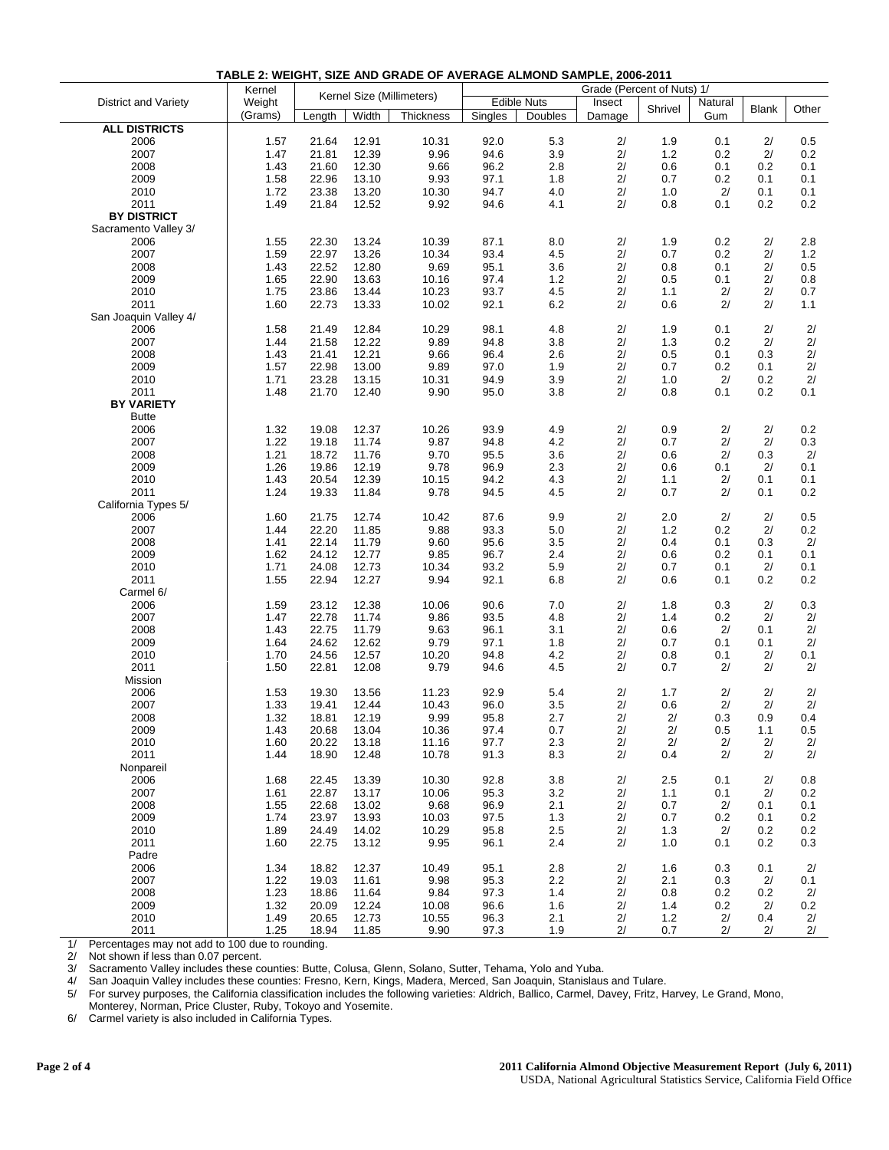|                       | Kernel  |                           |       | Grade (Percent of Nuts) 1/ |                    |         |          |         |         |              |       |  |
|-----------------------|---------|---------------------------|-------|----------------------------|--------------------|---------|----------|---------|---------|--------------|-------|--|
| District and Variety  | Weight  | Kernel Size (Millimeters) |       |                            | <b>Edible Nuts</b> |         | Insect   |         | Natural |              |       |  |
|                       | (Grams) | Length                    | Width | Thickness                  | Singles            | Doubles | Damage   | Shrivel | Gum     | <b>Blank</b> | Other |  |
| <b>ALL DISTRICTS</b>  |         |                           |       |                            |                    |         |          |         |         |              |       |  |
| 2006                  | 1.57    | 21.64                     | 12.91 | 10.31                      | 92.0               | 5.3     | $2/$     | 1.9     | 0.1     | 2/           | 0.5   |  |
| 2007                  | 1.47    | 21.81                     | 12.39 | 9.96                       | 94.6               | 3.9     | $2/$     | $1.2$   | 0.2     | 2/           | 0.2   |  |
| 2008                  | 1.43    | 21.60                     | 12.30 | 9.66                       | 96.2               | 2.8     | $2/$     | 0.6     | 0.1     | 0.2          | 0.1   |  |
| 2009                  |         |                           | 13.10 | 9.93                       | 97.1               |         | 2/       | 0.7     |         | 0.1          | 0.1   |  |
|                       | 1.58    | 22.96                     |       |                            |                    | 1.8     |          |         | 0.2     |              |       |  |
| 2010                  | 1.72    | 23.38                     | 13.20 | 10.30                      | 94.7               | 4.0     | 2/<br>2/ | 1.0     | 2/      | 0.1          | 0.1   |  |
| 2011                  | 1.49    | 21.84                     | 12.52 | 9.92                       | 94.6               | 4.1     |          | 0.8     | 0.1     | 0.2          | 0.2   |  |
| <b>BY DISTRICT</b>    |         |                           |       |                            |                    |         |          |         |         |              |       |  |
| Sacramento Valley 3/  |         |                           |       |                            |                    |         |          |         |         |              |       |  |
| 2006                  | 1.55    | 22.30                     | 13.24 | 10.39                      | 87.1               | 8.0     | 2/       | 1.9     | 0.2     | 2/           | 2.8   |  |
| 2007                  | 1.59    | 22.97                     | 13.26 | 10.34                      | 93.4               | 4.5     | $2/$     | 0.7     | 0.2     | 2/           | 1.2   |  |
| 2008                  | 1.43    | 22.52                     | 12.80 | 9.69                       | 95.1               | 3.6     | $2/$     | 0.8     | 0.1     | 2/           | 0.5   |  |
| 2009                  | 1.65    | 22.90                     | 13.63 | 10.16                      | 97.4               | 1.2     | 2/       | 0.5     | 0.1     | 2/           | 0.8   |  |
| 2010                  | 1.75    | 23.86                     | 13.44 | 10.23                      | 93.7               | 4.5     | 2/       | 1.1     | 2/      | 2/           | 0.7   |  |
| 2011                  | 1.60    | 22.73                     | 13.33 | 10.02                      | 92.1               | 6.2     | 2/       | 0.6     | 2/      | 2/           | 1.1   |  |
| San Joaquin Valley 4/ |         |                           |       |                            |                    |         |          |         |         |              |       |  |
| 2006                  | 1.58    | 21.49                     | 12.84 | 10.29                      | 98.1               | 4.8     | 2/       | 1.9     | 0.1     | 2/           | 2/    |  |
| 2007                  | 1.44    | 21.58                     | 12.22 | 9.89                       | 94.8               | 3.8     | $2/$     | 1.3     | 0.2     | 2/           | 2/    |  |
| 2008                  | 1.43    | 21.41                     | 12.21 | 9.66                       | 96.4               | 2.6     | $2/$     | 0.5     | 0.1     | 0.3          | 2/    |  |
| 2009                  | 1.57    | 22.98                     | 13.00 | 9.89                       | 97.0               | 1.9     | $2/$     | 0.7     | 0.2     | 0.1          | 2/    |  |
| 2010                  | 1.71    | 23.28                     | 13.15 | 10.31                      | 94.9               | 3.9     | 2/       | 1.0     | 2/      | 0.2          | 2/    |  |
| 2011                  | 1.48    | 21.70                     | 12.40 | 9.90                       | 95.0               | 3.8     | 2/       | 0.8     | 0.1     | 0.2          | 0.1   |  |
| <b>BY VARIETY</b>     |         |                           |       |                            |                    |         |          |         |         |              |       |  |
| <b>Butte</b>          |         |                           |       |                            |                    |         |          |         |         |              |       |  |
| 2006                  | 1.32    | 19.08                     | 12.37 | 10.26                      | 93.9               | 4.9     | 2/       | 0.9     | 2/      | 2/           | 0.2   |  |
| 2007                  | 1.22    | 19.18                     | 11.74 | 9.87                       | 94.8               | 4.2     | 2/       | 0.7     | 2/      | 2/           | 0.3   |  |
| 2008                  | 1.21    | 18.72                     | 11.76 | 9.70                       | 95.5               | 3.6     | $2/$     | 0.6     | 2/      | 0.3          | 2/    |  |
| 2009                  | 1.26    | 19.86                     | 12.19 | 9.78                       | 96.9               | 2.3     | 2/       | 0.6     | 0.1     | 2/           | 0.1   |  |
| 2010                  | 1.43    | 20.54                     | 12.39 | 10.15                      | 94.2               | 4.3     | 2/       | 1.1     | 2/      | 0.1          | 0.1   |  |
| 2011                  | 1.24    | 19.33                     | 11.84 | 9.78                       | 94.5               | 4.5     | 2/       | 0.7     | 2/      | 0.1          | 0.2   |  |
| California Types 5/   |         |                           |       |                            |                    |         |          |         |         |              |       |  |
| 2006                  | 1.60    | 21.75                     | 12.74 | 10.42                      | 87.6               | 9.9     | $2/$     | 2.0     | 2/      | 2/           | 0.5   |  |
| 2007                  | 1.44    | 22.20                     | 11.85 | 9.88                       | 93.3               | 5.0     | 2/       | 1.2     | 0.2     | 2/           | 0.2   |  |
| 2008                  | 1.41    | 22.14                     | 11.79 | 9.60                       | 95.6               | 3.5     | $2/$     | 0.4     | 0.1     | 0.3          | 2/    |  |
| 2009                  | 1.62    | 24.12                     | 12.77 | 9.85                       | 96.7               | 2.4     | $2/$     | 0.6     | 0.2     | 0.1          | 0.1   |  |
| 2010                  | 1.71    | 24.08                     | 12.73 | 10.34                      | 93.2               | 5.9     | 2/       | 0.7     | 0.1     | 2/           | 0.1   |  |
| 2011                  | 1.55    | 22.94                     | 12.27 | 9.94                       | 92.1               | 6.8     | 2/       | 0.6     | 0.1     | 0.2          | 0.2   |  |
| Carmel 6/             |         |                           |       |                            |                    |         |          |         |         |              |       |  |
| 2006                  | 1.59    | 23.12                     | 12.38 | 10.06                      | 90.6               | 7.0     | $2/$     | 1.8     | 0.3     | 2/           | 0.3   |  |
| 2007                  | 1.47    | 22.78                     | 11.74 | 9.86                       | 93.5               | 4.8     | $2/$     | 1.4     | 0.2     | 2/           | 2/    |  |
| 2008                  | 1.43    | 22.75                     | 11.79 | 9.63                       | 96.1               | 3.1     | 2/       | 0.6     | 2/      | 0.1          | 2/    |  |
| 2009                  | 1.64    | 24.62                     | 12.62 | 9.79                       | 97.1               | 1.8     | 2/       | 0.7     | 0.1     | 0.1          | 2/    |  |
| 2010                  | 1.70    | 24.56                     | 12.57 | 10.20                      | 94.8               | 4.2     | $2/$     | 0.8     | 0.1     | 2/           | 0.1   |  |
| 2011                  | 1.50    | 22.81                     | 12.08 | 9.79                       | 94.6               | 4.5     | 2/       | 0.7     | 2/      | 2/           | 2/    |  |
| Mission               |         |                           |       |                            |                    |         |          |         |         |              |       |  |
| 2006                  | 1.53    | 19.30                     | 13.56 | 11.23                      | 92.9               | 5.4     | 2/       | 1.7     | 2/      | 2/           | 2/    |  |
| 2007                  | 1.33    | 19.41                     | 12.44 | 10.43                      | 96.0               | 3.5     | 2/       | 0.6     | 2/      | 2/           | 2/    |  |
| 2008                  | 1.32    | 18.81                     | 12.19 | 9.99                       | 95.8               | 2.7     | 2/       | 2/      | 0.3     | 0.9          | 0.4   |  |
| 2009                  | 1.43    | 20.68                     | 13.04 | 10.36                      | 97.4               | 0.7     | 2/       | 2/      | 0.5     | 1.1          | 0.5   |  |
| 2010                  | 1.60    | 20.22                     | 13.18 | 11.16                      | 97.7               | 2.3     | 2/       | $2/$    | 2/      | 2/           | 2/    |  |
| 2011                  | 1.44    | 18.90                     | 12.48 | 10.78                      | 91.3               | 8.3     | 2/       | 0.4     | 2/      | 2/           | 2/    |  |
| Nonpareil             |         |                           |       |                            |                    |         |          |         |         |              |       |  |
| 2006                  |         |                           | 13.39 | 10.30                      | 92.8               | 3.8     | 2/       | 2.5     | 0.1     |              |       |  |
|                       | 1.68    | 22.45                     |       |                            |                    |         | 2/       |         |         | 2/           | 0.8   |  |
| 2007                  | 1.61    | 22.87                     | 13.17 | 10.06                      | 95.3               | 3.2     |          | 1.1     | 0.1     | 2/           | 0.2   |  |
| 2008                  | 1.55    | 22.68                     | 13.02 | 9.68                       | 96.9               | 2.1     | 2/       | 0.7     | 2/      | 0.1          | 0.1   |  |
| 2009                  | 1.74    | 23.97                     | 13.93 | 10.03                      | 97.5               | 1.3     | 2/       | 0.7     | 0.2     | 0.1          | 0.2   |  |
| 2010                  | 1.89    | 24.49                     | 14.02 | 10.29                      | 95.8               | 2.5     | 2/       | 1.3     | 2/      | 0.2          | 0.2   |  |
| 2011                  | 1.60    | 22.75                     | 13.12 | 9.95                       | 96.1               | 2.4     | 2/       | 1.0     | 0.1     | 0.2          | 0.3   |  |
| Padre                 |         |                           |       |                            |                    |         |          |         |         |              |       |  |
| 2006                  | 1.34    | 18.82                     | 12.37 | 10.49                      | 95.1               | 2.8     | 2/       | 1.6     | 0.3     | 0.1          | 2/    |  |
| 2007                  | 1.22    | 19.03                     | 11.61 | 9.98                       | 95.3               | 2.2     | 2/       | 2.1     | 0.3     | 2/           | 0.1   |  |
| 2008                  | 1.23    | 18.86                     | 11.64 | 9.84                       | 97.3               | 1.4     | 2/       | 0.8     | 0.2     | 0.2          | 2/    |  |
| 2009                  | 1.32    | 20.09                     | 12.24 | 10.08                      | 96.6               | 1.6     | 2/       | 1.4     | 0.2     | 2/           | 0.2   |  |
| 2010                  | 1.49    | 20.65                     | 12.73 | 10.55                      | 96.3               | 2.1     | 2/       | $1.2$   | 2/      | 0.4          | 2/    |  |
| 2011                  | 1.25    | 18.94                     | 11.85 | 9.90                       | 97.3               | 1.9     | 2/       | 0.7     | 2/      | 2/           | 2/    |  |

**TABLE 2: WEIGHT, SIZE AND GRADE OF AVERAGE ALMOND SAMPLE, 2006-2011** 

1/ Percentages may not add to 100 due to rounding.<br>2/ Not shown if less than 0.07 percent.

2/ Not shown if less than 0.07 percent.<br>3/ Sacramento Valley includes these co

3/ Sacramento Valley includes these counties: Butte, Colusa, Glenn, Solano, Sutter, Tehama, Yolo and Yuba.

4/ San Joaquin Valley includes these counties: Fresno, Kern, Kings, Madera, Merced, San Joaquin, Stanislaus and Tulare.

5/ For survey purposes, the California classification includes the following varieties: Aldrich, Ballico, Carmel, Davey, Fritz, Harvey, Le Grand, Mono,

Monterey, Norman, Price Cluster, Ruby, Tokoyo and Yosemite.

6/ Carmel variety is also included in California Types.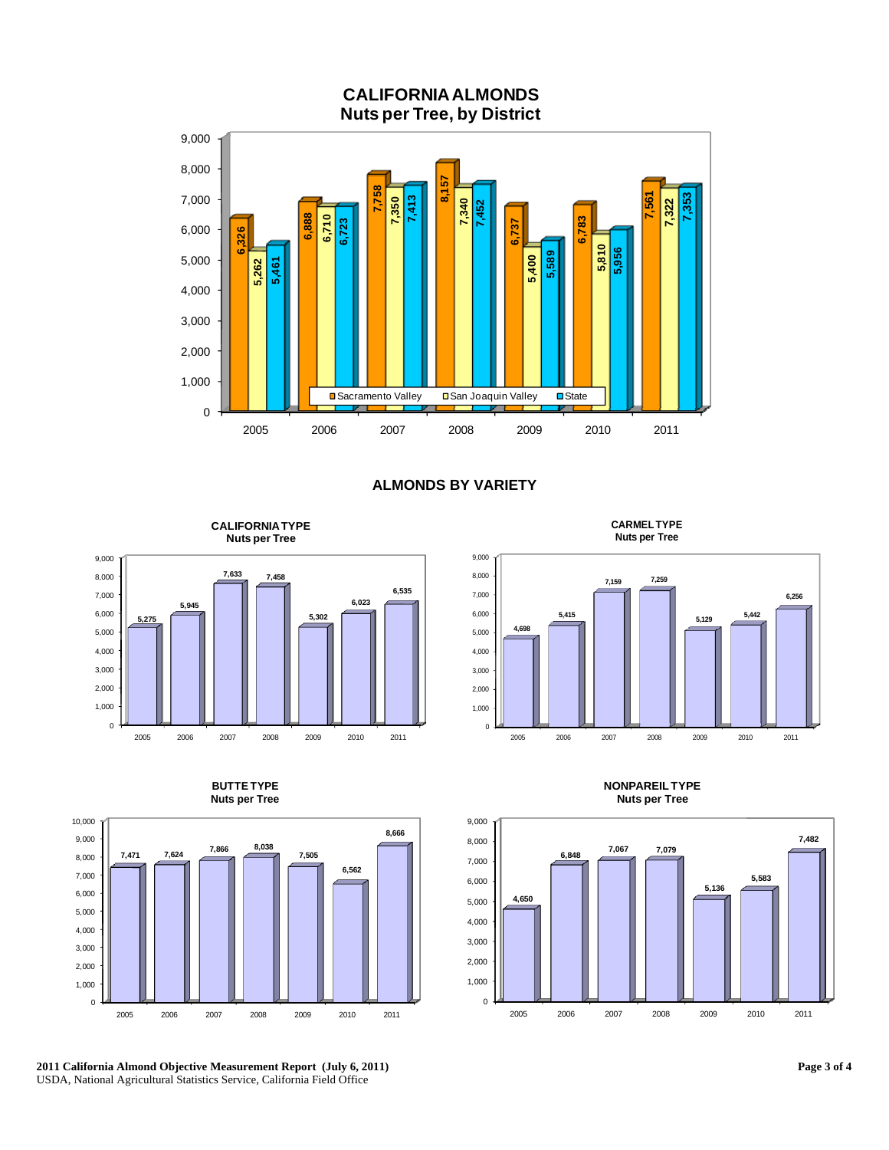

## **ALMONDS BY VARIETY**

**CALIFORNIA TYPE Nuts per Tree**





**BUTTE TYPE** 

**2011 California Almond Objective Measurement Report (July 6, 2011)**  USDA, National Agricultural Statistics Service, California Field Office

**CARMEL TYPE Nuts per Tree**



**NONPAREIL TYPE Nuts per Tree**